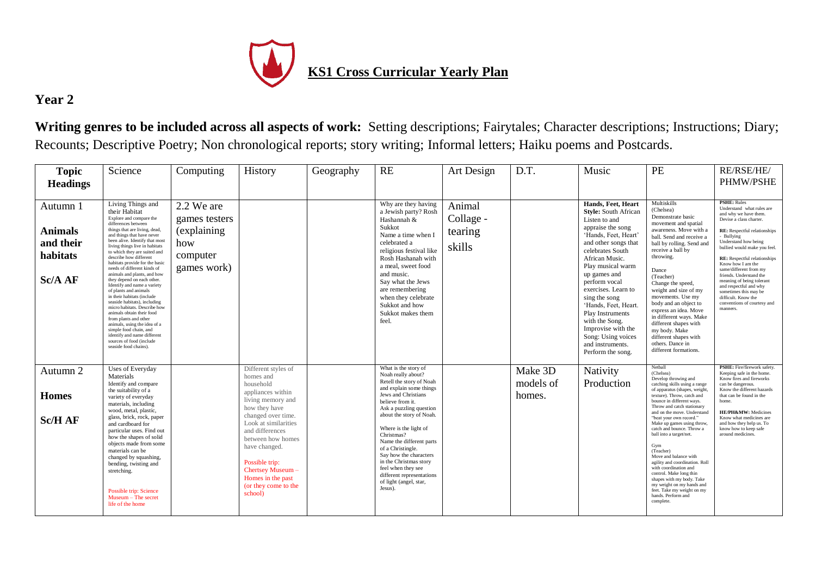

## **Year 2**

**Writing genres to be included across all aspects of work:** Setting descriptions; Fairytales; Character descriptions; Instructions; Diary; Recounts; Descriptive Poetry; Non chronological reports; story writing; Informal letters; Haiku poems and Postcards.

| <b>Topic</b><br><b>Headings</b>                                | Science                                                                                                                                                                                                                                                                                                                                                                                                                                                                                                                                                                                                                                                                                                                                                                   | Computing                                                                     | History                                                                                                                                                                                                            | Geography | <b>RE</b>                                                                                                                                                                                                                                                                                                      | Art Design                               | D.T.                 | Music                                                                                                                                                                                                                                                                                                                                                                                                                          | PE                                                                                                                                                                                                                                                                                                                                                                                                                                                                               | RE/RSE/HE/<br>PHMW/PSHE                                                                                                                                                                                                                                                                                                                                                                                                                                                             |
|----------------------------------------------------------------|---------------------------------------------------------------------------------------------------------------------------------------------------------------------------------------------------------------------------------------------------------------------------------------------------------------------------------------------------------------------------------------------------------------------------------------------------------------------------------------------------------------------------------------------------------------------------------------------------------------------------------------------------------------------------------------------------------------------------------------------------------------------------|-------------------------------------------------------------------------------|--------------------------------------------------------------------------------------------------------------------------------------------------------------------------------------------------------------------|-----------|----------------------------------------------------------------------------------------------------------------------------------------------------------------------------------------------------------------------------------------------------------------------------------------------------------------|------------------------------------------|----------------------|--------------------------------------------------------------------------------------------------------------------------------------------------------------------------------------------------------------------------------------------------------------------------------------------------------------------------------------------------------------------------------------------------------------------------------|----------------------------------------------------------------------------------------------------------------------------------------------------------------------------------------------------------------------------------------------------------------------------------------------------------------------------------------------------------------------------------------------------------------------------------------------------------------------------------|-------------------------------------------------------------------------------------------------------------------------------------------------------------------------------------------------------------------------------------------------------------------------------------------------------------------------------------------------------------------------------------------------------------------------------------------------------------------------------------|
| Autumn 1<br><b>Animals</b><br>and their<br>habitats<br>Sc/A AF | Living Things and<br>their Habitat<br>Explore and compare the<br>differences between<br>things that are living, dead,<br>and things that have never<br>been alive. Identify that most<br>living things live in habitats<br>to which they are suited and<br>describe how different<br>habitats provide for the basic<br>needs of different kinds of<br>animals and plants, and how<br>they depend on each other.<br>Identify and name a variety<br>of plants and animals<br>in their habitats (include<br>seaside habitats), including<br>micro habitats. Describe how<br>animals obtain their food<br>from plants and other<br>animals, using the idea of a<br>simple food chain, and<br>identify and name different<br>sources of food (include<br>seaside food chains). | 2.2 We are<br>games testers<br>(explaining)<br>how<br>computer<br>games work) |                                                                                                                                                                                                                    |           | Why are they having<br>a Jewish party? Rosh<br>Hashannah &<br>Sukkot<br>Name a time when I<br>celebrated a<br>religious festival like<br>Rosh Hashanah with<br>a meal, sweet food<br>and music.<br>Say what the Jews<br>are remembering<br>when they celebrate<br>Sukkot and how<br>Sukkot makes them<br>feel. | Animal<br>Collage -<br>tearing<br>skills |                      | Hands, Feet, Heart<br><b>Style:</b> South African<br>Listen to and<br>appraise the song<br>'Hands, Feet, Heart'<br>and other songs that<br>celebrates South<br>African Music.<br>Play musical warm<br>up games and<br>perform vocal<br>exercises. Learn to<br>sing the song<br>'Hands, Feet, Heart.<br>Play Instruments<br>with the Song.<br>Improvise with the<br>Song: Using voices<br>and instruments.<br>Perform the song. | Multiskills<br>(Chelsea)<br>Demonstrate basic<br>movement and spatial<br>awareness. Move with a<br>ball. Send and receive a<br>ball by rolling. Send and<br>receive a ball by<br>throwing.<br>Dance<br>(Teacher)<br>Change the speed,<br>weight and size of my<br>movements. Use my<br>body and an object to<br>express an idea. Move<br>in different ways. Make<br>different shapes with<br>my body. Make<br>different shapes with<br>others. Dance in<br>different formations. | <b>PSHE: Rules</b><br>Understand what rules are<br>and why we have them.<br>Devise a class charter.<br><b>RE:</b> Respectful relationships<br>- Bullying<br>Understand how being<br>bullied would make you feel.<br><b>RE:</b> Respectful relationships<br>Know how I am the<br>same/different from my<br>friends. Understand the<br>meaning of being tolerant<br>and respectful and why<br>sometimes this may be<br>difficult. Know the<br>conventions of courtesy and<br>manners. |
| Autumn 2                                                       | Uses of Everyday<br>Materials                                                                                                                                                                                                                                                                                                                                                                                                                                                                                                                                                                                                                                                                                                                                             |                                                                               | Different styles of<br>homes and                                                                                                                                                                                   |           | What is the story of<br>Noah really about?<br>Retell the story of Noah                                                                                                                                                                                                                                         |                                          | Make 3D<br>models of | Nativity<br>Production                                                                                                                                                                                                                                                                                                                                                                                                         | Netball<br>(Chelsea)<br>Develop throwing and                                                                                                                                                                                                                                                                                                                                                                                                                                     | <b>PSHE:</b> Fire/firework safety<br>Keeping safe in the home.<br>Know fires and fireworks                                                                                                                                                                                                                                                                                                                                                                                          |
| <b>Homes</b>                                                   | Identify and compare<br>the suitability of a<br>variety of everyday<br>materials, including                                                                                                                                                                                                                                                                                                                                                                                                                                                                                                                                                                                                                                                                               |                                                                               | household<br>appliances within<br>living memory and                                                                                                                                                                |           | and explain some things<br>Jews and Christians<br>believe from it.                                                                                                                                                                                                                                             |                                          | homes.               |                                                                                                                                                                                                                                                                                                                                                                                                                                | catching skills using a range<br>of apparatus (shapes, weight,<br>texture). Throw, catch and<br>bounce in different ways.<br>Throw and catch stationary                                                                                                                                                                                                                                                                                                                          | can be dangerous.<br>Know the different hazards<br>that can be found in the<br>home.                                                                                                                                                                                                                                                                                                                                                                                                |
| <b>Sc/H AF</b>                                                 | wood, metal, plastic,<br>glass, brick, rock, paper<br>and cardboard for<br>particular uses. Find out<br>how the shapes of solid<br>objects made from some<br>materials can be<br>changed by squashing,<br>bending, twisting and<br>stretching.<br>Possible trip: Science<br>Museum - The secret<br>life of the home                                                                                                                                                                                                                                                                                                                                                                                                                                                       |                                                                               | how they have<br>changed over time.<br>Look at similarities<br>and differences<br>between how homes<br>have changed.<br>Possible trip:<br>Chertsey Museum-<br>Homes in the past<br>(or they come to the<br>school) |           | Ask a puzzling question<br>about the story of Noah.<br>Where is the light of<br>Christmas?<br>Name the different parts<br>of a Christingle.<br>Say how the characters<br>in the Christmas story<br>feel when they see<br>different representations<br>of light (angel, star,<br>Jesus).                        |                                          |                      |                                                                                                                                                                                                                                                                                                                                                                                                                                | and on the move. Understand<br>"beat your own record."<br>Make up games using throw<br>catch and bounce. Throw a<br>ball into a target/net.<br>Gym<br>(Teacher)<br>Move and balance with<br>agility and coordination. Roll<br>with coordination and<br>control. Make long thin<br>shapes with my body. Take<br>my weight on my hands and<br>feet. Take my weight on my<br>hands. Perform and<br>complete.                                                                        | HE/PH&MW: Medicines<br>Know what medicines are<br>and how they help us. To<br>know how to keep safe<br>around medicines                                                                                                                                                                                                                                                                                                                                                             |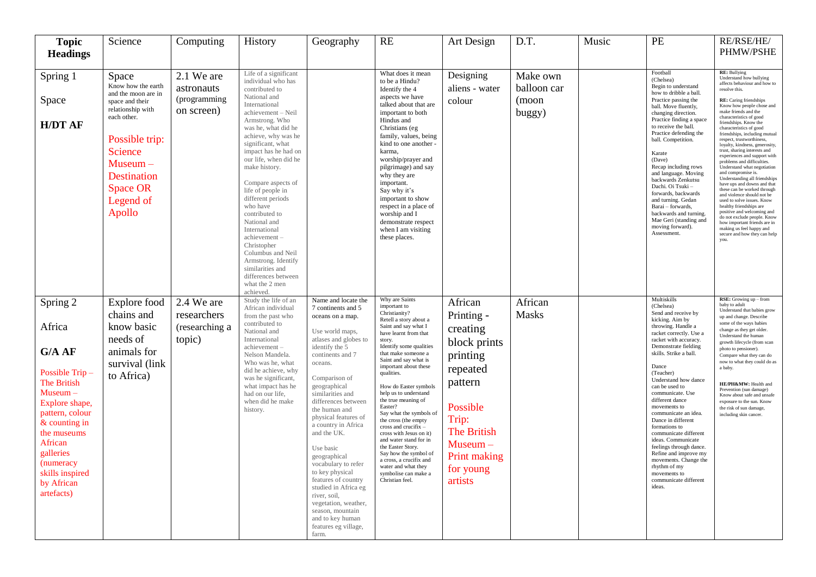| <b>Topic</b><br><b>Headings</b>                                                                                                                                                                                                              | Science                                                                                                                                                                                                              | Computing                                              | History                                                                                                                                                                                                                                                                                                                                                                                                                                                                                                                                                         | Geography                                                                                                                                                                                                                                                                                                                                                                                                                                                                                                                                                    | RE                                                                                                                                                                                                                                                                                                                                                                                                                                                                                                                                                                                                                    | Art Design                                                                                                                                                                            | D.T.                                       | Music | PE                                                                                                                                                                                                                                                                                                                                                                                                                                                                                                                                                                                  | RE/RSE/HE/<br><b>PHMW/PSHE</b>                                                                                                                                                                                                                                                                                                                                                                                                                                                                                                                                                                                                                                                                                                                                                                                                                                        |
|----------------------------------------------------------------------------------------------------------------------------------------------------------------------------------------------------------------------------------------------|----------------------------------------------------------------------------------------------------------------------------------------------------------------------------------------------------------------------|--------------------------------------------------------|-----------------------------------------------------------------------------------------------------------------------------------------------------------------------------------------------------------------------------------------------------------------------------------------------------------------------------------------------------------------------------------------------------------------------------------------------------------------------------------------------------------------------------------------------------------------|--------------------------------------------------------------------------------------------------------------------------------------------------------------------------------------------------------------------------------------------------------------------------------------------------------------------------------------------------------------------------------------------------------------------------------------------------------------------------------------------------------------------------------------------------------------|-----------------------------------------------------------------------------------------------------------------------------------------------------------------------------------------------------------------------------------------------------------------------------------------------------------------------------------------------------------------------------------------------------------------------------------------------------------------------------------------------------------------------------------------------------------------------------------------------------------------------|---------------------------------------------------------------------------------------------------------------------------------------------------------------------------------------|--------------------------------------------|-------|-------------------------------------------------------------------------------------------------------------------------------------------------------------------------------------------------------------------------------------------------------------------------------------------------------------------------------------------------------------------------------------------------------------------------------------------------------------------------------------------------------------------------------------------------------------------------------------|-----------------------------------------------------------------------------------------------------------------------------------------------------------------------------------------------------------------------------------------------------------------------------------------------------------------------------------------------------------------------------------------------------------------------------------------------------------------------------------------------------------------------------------------------------------------------------------------------------------------------------------------------------------------------------------------------------------------------------------------------------------------------------------------------------------------------------------------------------------------------|
| Spring 1<br>Space<br><b>H/DT AF</b>                                                                                                                                                                                                          | Space<br>Know how the earth<br>and the moon are in<br>space and their<br>relationship with<br>each other.<br>Possible trip:<br><b>Science</b><br>$Museum -$<br>Destination<br><b>Space OR</b><br>Legend of<br>Apollo | 2.1 We are<br>astronauts<br>(programming<br>on screen) | Life of a significant<br>individual who has<br>contributed to<br>National and<br>International<br>achievement - Neil<br>Armstrong. Who<br>was he, what did he<br>achieve, why was he<br>significant, what<br>impact has he had on<br>our life, when did he<br>make history.<br>Compare aspects of<br>life of people in<br>different periods<br>who have<br>contributed to<br>National and<br>International<br>achievement-<br>Christopher<br>Columbus and Neil<br>Armstrong. Identify<br>similarities and<br>differences between<br>what the 2 men<br>achieved. |                                                                                                                                                                                                                                                                                                                                                                                                                                                                                                                                                              | What does it mean<br>to be a Hindu?<br>Identify the 4<br>aspects we have<br>talked about that are<br>important to both<br>Hindus and<br>Christians (eg<br>family, values, being<br>kind to one another -<br>karma,<br>worship/prayer and<br>pilgrimage) and say<br>why they are<br>important.<br>Say why it's<br>important to show<br>respect in a place of<br>worship and I<br>demonstrate respect<br>when I am visiting<br>these places.                                                                                                                                                                            | Designing<br>aliens - water<br>colour                                                                                                                                                 | Make own<br>balloon car<br>(moon<br>buggy) |       | Football<br>(Chelsea)<br>Begin to understand<br>how to dribble a ball.<br>Practice passing the<br>ball. Move fluently,<br>changing direction.<br>Practice finding a space<br>to receive the ball.<br>Practice defending the<br>ball. Competition.<br>Karate<br>(Dave)<br>Recap including rows<br>and language. Moving<br>backwards Zenkutsu<br>Dachi. Oi Tsuki -<br>forwards, backwards<br>and turning. Gedan<br>Barai - forwards,<br>backwards and turning<br>Mae Geri (standing and<br>moving forward).<br>Assessment                                                             | <b>RE:</b> Bullying<br>Understand how bullying<br>affects behaviour and how to<br>resolve this<br>RE: Caring friendships<br>Know how people chose and<br>make friends and the<br>characteristics of good<br>friendships. Know the<br>characteristics of good<br>friendships, including mutual<br>respect, trustworthiness,<br>loyalty, kindness, generosity,<br>trust, sharing interests and<br>experiences and support with<br>problems and difficulties<br>Understand what negotiation<br>and compromise is.<br>Understanding all friendships<br>have ups and downs and that<br>these can be worked through<br>and violence should not be<br>used to solve issues. Know<br>healthy friendships are<br>positive and welcoming and<br>do not exclude people. Know<br>how important friends are in<br>making us feel happy and<br>secure and how they can help<br>vou. |
| Spring 2<br>Africa<br>G/A AF<br>Possible Trip-<br>The British<br>$Museum -$<br>Explore shape,<br>pattern, colour<br>& counting in<br>the museums<br>African<br>galleries<br><i>(numeracy)</i><br>skills inspired<br>by African<br>artefacts) | Explore food<br>chains and<br>know basic<br>needs of<br>animals for<br>survival (link<br>to Africa)                                                                                                                  | 2.4 We are<br>researchers<br>(researching a<br>topic)  | Study the life of an<br>African individual<br>from the past who<br>contributed to<br>National and<br>International<br>achievement-<br>Nelson Mandela.<br>Who was he, what<br>did he achieve, why<br>was he significant,<br>what impact has he<br>had on our life,<br>when did he make<br>history.                                                                                                                                                                                                                                                               | Name and locate the<br>7 continents and 5<br>oceans on a map.<br>Use world maps,<br>atlases and globes to<br>identify the 5<br>continents and 7<br>oceans.<br>Comparison of<br>geographical<br>similarities and<br>differences between<br>the human and<br>physical features of<br>a country in Africa<br>and the UK.<br>Use basic<br>geographical<br>vocabulary to refer<br>to key physical<br>features of country<br>studied in Africa eg<br>river, soil,<br>vegetation, weather,<br>season, mountain<br>and to key human<br>features eg village,<br>farm. | Why are Saints<br>important to<br>Christianity?<br>Retell a story about a<br>Saint and say what I<br>have learnt from that<br>story.<br>Identify some qualities<br>that make someone a<br>Saint and say what is<br>important about these<br>qualities.<br>How do Easter symbols<br>help us to understand<br>the true meaning of<br>Easter?<br>Say what the symbols of<br>the cross (the empty<br>cross and crucifix -<br>cross with Jesus on it)<br>and water stand for in<br>the Easter Story.<br>Say how the symbol of<br>a cross, a crucifix and<br>water and what they<br>symbolise can make a<br>Christian feel. | African<br>Printing -<br>creating<br>block prints<br>printing<br>repeated<br>pattern<br>Possible<br>Trip:<br><b>The British</b><br>$Museum -$<br>Print making<br>for young<br>artists | African<br>Masks                           |       | Multiskills<br>(Chelsea)<br>Send and receive by<br>kicking. Aim by<br>throwing. Handle a<br>racket correctly. Use a<br>racket with accuracy.<br>Demonstrate fielding<br>skills. Strike a ball.<br>Dance<br>(Teacher)<br>Understand how dance<br>can be used to<br>communicate. Use<br>different dance<br>movements to<br>communicate an idea.<br>Dance in different<br>formations to<br>communicate different<br>ideas. Communicate<br>feelings through dance.<br>Refine and improve my<br>movements. Change the<br>rhythm of my<br>movements to<br>communicate different<br>ideas. | RSE: Growing up - from<br>baby to adult<br>Understand that babies grow<br>up and change. Describe<br>some of the ways babies<br>change as they get older.<br>Understand the human<br>growth lifecycle (from scan<br>photo to pensioner).<br>Compare what they can do<br>now to what they could do as<br>a baby.<br>HE/PH&MW: Health and<br>Prevention (sun damage)<br>Know about safe and unsafe<br>exposure to the sun. Know<br>the risk of sun damage,<br>including skin cancer.                                                                                                                                                                                                                                                                                                                                                                                    |